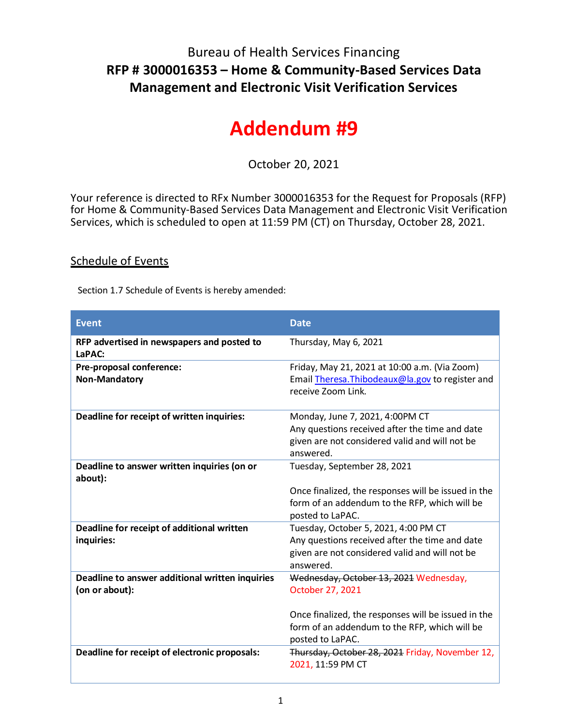## Bureau of Health Services Financing **RFP # 3000016353 – Home & Community-Based Services Data Management and Electronic Visit Verification Services**

## **Addendum #9**

October 20, 2021

Your reference is directed to RFx Number 3000016353 for the Request for Proposals (RFP) for Home & Community-Based Services Data Management and Electronic Visit Verification Services, which is scheduled to open at 11:59 PM (CT) on Thursday, October 28, 2021.

## Schedule of Events

Section 1.7 Schedule of Events is hereby amended:

| <b>Event</b>                                                      | <b>Date</b>                                                                                                                                                                            |
|-------------------------------------------------------------------|----------------------------------------------------------------------------------------------------------------------------------------------------------------------------------------|
| RFP advertised in newspapers and posted to<br>LaPAC:              | Thursday, May 6, 2021                                                                                                                                                                  |
| Pre-proposal conference:<br><b>Non-Mandatory</b>                  | Friday, May 21, 2021 at 10:00 a.m. (Via Zoom)<br>Email Theresa. Thibodeaux@la.gov to register and<br>receive Zoom Link.                                                                |
| Deadline for receipt of written inquiries:                        | Monday, June 7, 2021, 4:00PM CT<br>Any questions received after the time and date<br>given are not considered valid and will not be<br>answered.                                       |
| Deadline to answer written inquiries (on or<br>about):            | Tuesday, September 28, 2021<br>Once finalized, the responses will be issued in the<br>form of an addendum to the RFP, which will be<br>posted to LaPAC.                                |
| Deadline for receipt of additional written<br>inquiries:          | Tuesday, October 5, 2021, 4:00 PM CT<br>Any questions received after the time and date<br>given are not considered valid and will not be<br>answered.                                  |
| Deadline to answer additional written inquiries<br>(on or about): | Wednesday, October 13, 2021 Wednesday,<br>October 27, 2021<br>Once finalized, the responses will be issued in the<br>form of an addendum to the RFP, which will be<br>posted to LaPAC. |
| Deadline for receipt of electronic proposals:                     | Thursday, October 28, 2021 Friday, November 12,<br>2021, 11:59 PM CT                                                                                                                   |